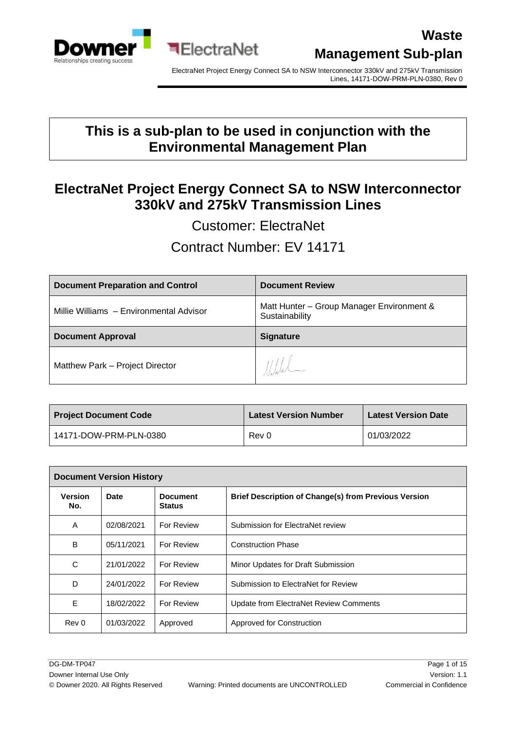

ElectraNet Project Energy Connect SA to NSW Interconnector 330kV and 275kV Transmission Lines, 14171-DOW-PRM-PLN-0380, Rev 0

### **This is a sub-plan to be used in conjunction with the Environmental Management Plan**

### **ElectraNet Project Energy Connect SA to NSW Interconnector 330kV and 275kV Transmission Lines**

Customer: ElectraNet

Contract Number: EV 14171

| <b>Document Preparation and Control</b> | <b>Document Review</b>                                      |  |  |
|-----------------------------------------|-------------------------------------------------------------|--|--|
| Millie Williams - Environmental Advisor | Matt Hunter - Group Manager Environment &<br>Sustainability |  |  |
|                                         |                                                             |  |  |
| <b>Document Approval</b>                | <b>Signature</b>                                            |  |  |

| <b>Project Document Code</b> | <b>Latest Version Number</b> | <b>Latest Version Date</b> |
|------------------------------|------------------------------|----------------------------|
| 14171-DOW-PRM-PLN-0380       | Rev 0                        | 01/03/2022                 |

| <b>Document Version History</b> |            |                                  |                                                             |  |
|---------------------------------|------------|----------------------------------|-------------------------------------------------------------|--|
| <b>Version</b><br>No.           | Date       | <b>Document</b><br><b>Status</b> | <b>Brief Description of Change(s) from Previous Version</b> |  |
| A                               | 02/08/2021 | For Review                       | Submission for ElectraNet review                            |  |
| B                               | 05/11/2021 | For Review                       | <b>Construction Phase</b>                                   |  |
| C                               | 21/01/2022 | For Review                       | Minor Updates for Draft Submission                          |  |
| D                               | 24/01/2022 | For Review                       | Submission to ElectraNet for Review                         |  |
| E                               | 18/02/2022 | For Review                       | Update from ElectraNet Review Comments                      |  |
| Rev 0                           | 01/03/2022 | Approved                         | Approved for Construction                                   |  |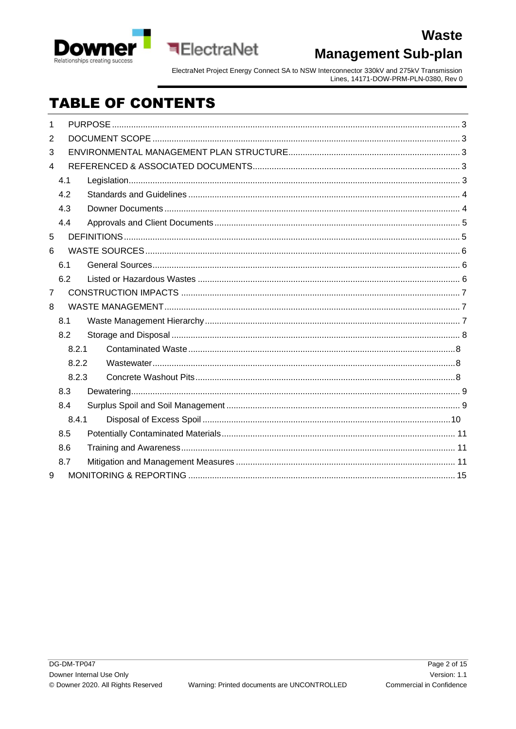

ElectraNet Project Energy Connect SA to NSW Interconnector 330kV and 275kV Transmission<br>Lines, 14171-DOW-PRM-PLN-0380, Rev 0

# **TABLE OF CONTENTS**

**ElectraNet** 

| 1              |       |  |
|----------------|-------|--|
| 2              |       |  |
| 3              |       |  |
| 4              |       |  |
|                | 4.1   |  |
|                | 4.2   |  |
|                | 4.3   |  |
|                | 4.4   |  |
| 5              |       |  |
| 6              |       |  |
|                | 6.1   |  |
|                | 6.2   |  |
| $\overline{7}$ |       |  |
| 8              |       |  |
|                | 8.1   |  |
|                | 8.2   |  |
|                | 8.2.1 |  |
|                | 8.2.2 |  |
|                | 8.2.3 |  |
|                | 8.3   |  |
|                | 8.4   |  |
|                | 8.4.1 |  |
|                | 8.5   |  |
|                | 8.6   |  |
|                | 8.7   |  |
| 9              |       |  |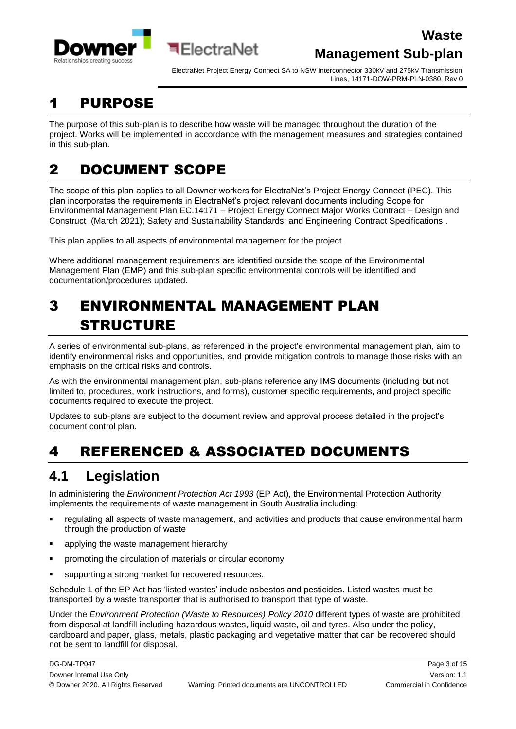

ElectraNet Project Energy Connect SA to NSW Interconnector 330kV and 275kV Transmission Lines, 14171-DOW-PRM-PLN-0380, Rev 0

# <span id="page-2-0"></span>1 PURPOSE

The purpose of this sub-plan is to describe how waste will be managed throughout the duration of the project. Works will be implemented in accordance with the management measures and strategies contained in this sub-plan.

# <span id="page-2-1"></span>2 DOCUMENT SCOPE

The scope of this plan applies to all Downer workers for ElectraNet's Project Energy Connect (PEC). This plan incorporates the requirements in ElectraNet's project relevant documents including Scope for Environmental Management Plan EC.14171 – Project Energy Connect Major Works Contract – Design and Construct (March 2021); Safety and Sustainability Standards; and Engineering Contract Specifications .

This plan applies to all aspects of environmental management for the project.

**बElectraNet** 

Where additional management requirements are identified outside the scope of the Environmental Management Plan (EMP) and this sub-plan specific environmental controls will be identified and documentation/procedures updated.

# <span id="page-2-2"></span>3 ENVIRONMENTAL MANAGEMENT PLAN STRUCTURE

A series of environmental sub-plans, as referenced in the project's environmental management plan, aim to identify environmental risks and opportunities, and provide mitigation controls to manage those risks with an emphasis on the critical risks and controls.

As with the environmental management plan, sub-plans reference any IMS documents (including but not limited to, procedures, work instructions, and forms), customer specific requirements, and project specific documents required to execute the project.

Updates to sub-plans are subject to the document review and approval process detailed in the project's document control plan.

# <span id="page-2-3"></span>4 REFERENCED & ASSOCIATED DOCUMENTS

# <span id="page-2-4"></span>**4.1 Legislation**

In administering the *Environment Protection Act 1993* (EP Act), the Environmental Protection Authority implements the requirements of waste management in South Australia including:

- regulating all aspects of waste management, and activities and products that cause environmental harm through the production of waste
- applying the waste management hierarchy
- promoting the circulation of materials or circular economy
- supporting a strong market for recovered resources.

Schedule 1 of the EP Act has 'listed wastes' include asbestos and pesticides. Listed wastes must be transported by a waste transporter that is authorised to transport that type of waste.

Under the *Environment Protection (Waste to Resources) Policy 2010* different types of waste are prohibited from disposal at landfill including hazardous wastes, liquid waste, oil and tyres. Also under the policy, cardboard and paper, glass, metals, plastic packaging and vegetative matter that can be recovered should not be sent to landfill for disposal.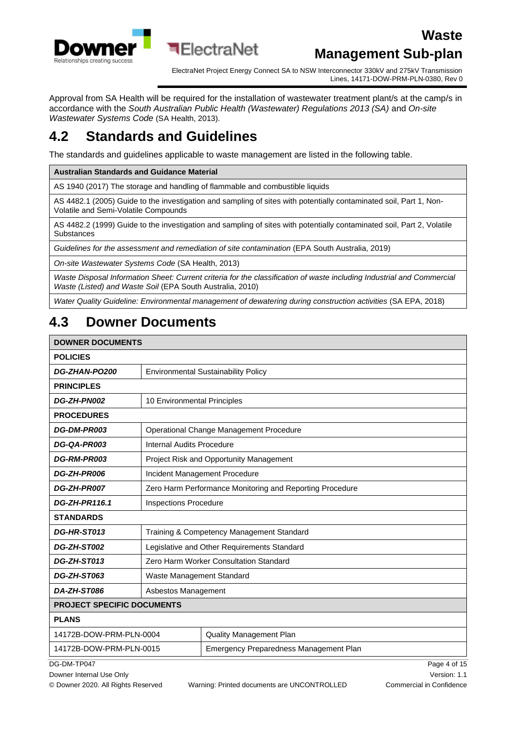

ElectraNet Project Energy Connect SA to NSW Interconnector 330kV and 275kV Transmission Lines, 14171-DOW-PRM-PLN-0380, Rev 0

Approval from SA Health will be required for the installation of wastewater treatment plant/s at the camp/s in accordance with the *South Australian Public Health (Wastewater) Regulations 2013 (SA)* and *On-site Wastewater Systems Code* (SA Health, 2013).

# <span id="page-3-0"></span>**4.2 Standards and Guidelines**

The standards and guidelines applicable to waste management are listed in the following table.

**Australian Standards and Guidance Material**

AS 1940 (2017) The storage and handling of flammable and combustible liquids

AS 4482.1 (2005) Guide to the investigation and sampling of sites with potentially contaminated soil, Part 1, Non-Volatile and Semi-Volatile Compounds

AS 4482.2 (1999) Guide to the investigation and sampling of sites with potentially contaminated soil, Part 2, Volatile **Substances** 

*Guidelines for the assessment and remediation of site contamination* (EPA South Australia, 2019)

*On-site Wastewater Systems Code* (SA Health, 2013)

*Waste Disposal Information Sheet: Current criteria for the classification of waste including Industrial and Commercial Waste (Listed) and Waste Soil* (EPA South Australia, 2010)

*Water Quality Guideline: Environmental management of dewatering during construction activities* (SA EPA, 2018)

# <span id="page-3-1"></span>**4.3 Downer Documents**

#### **DOWNER DOCUMENTS**

| <b>POLICIES</b>                                                   |                                                          |                                                |  |  |
|-------------------------------------------------------------------|----------------------------------------------------------|------------------------------------------------|--|--|
| DG-ZHAN-PO200                                                     | <b>Environmental Sustainability Policy</b>               |                                                |  |  |
| <b>PRINCIPLES</b>                                                 |                                                          |                                                |  |  |
| DG-ZH-PN002                                                       | 10 Environmental Principles                              |                                                |  |  |
| <b>PROCEDURES</b>                                                 |                                                          |                                                |  |  |
| DG-DM-PR003                                                       |                                                          | Operational Change Management Procedure        |  |  |
| DG-QA-PR003                                                       | Internal Audits Procedure                                |                                                |  |  |
| <b>DG-RM-PR003</b>                                                |                                                          | <b>Project Risk and Opportunity Management</b> |  |  |
| <b>DG-ZH-PR006</b>                                                | Incident Management Procedure                            |                                                |  |  |
| <b>DG-ZH-PR007</b>                                                | Zero Harm Performance Monitoring and Reporting Procedure |                                                |  |  |
| DG-ZH-PR116.1                                                     | <b>Inspections Procedure</b>                             |                                                |  |  |
| <b>STANDARDS</b>                                                  |                                                          |                                                |  |  |
| DG-HR-ST013                                                       | Training & Competency Management Standard                |                                                |  |  |
| DG-ZH-ST002                                                       | Legislative and Other Requirements Standard              |                                                |  |  |
| DG-ZH-ST013                                                       | Zero Harm Worker Consultation Standard                   |                                                |  |  |
| <b>DG-ZH-ST063</b>                                                | Waste Management Standard                                |                                                |  |  |
| DA-ZH-ST086                                                       | Asbestos Management                                      |                                                |  |  |
| <b>PROJECT SPECIFIC DOCUMENTS</b>                                 |                                                          |                                                |  |  |
| <b>PLANS</b>                                                      |                                                          |                                                |  |  |
| 14172B-DOW-PRM-PLN-0004<br><b>Quality Management Plan</b>         |                                                          |                                                |  |  |
| 14172B-DOW-PRM-PLN-0015<br>Emergency Preparedness Management Plan |                                                          |                                                |  |  |

Downer Internal Use Only **Network Contract Contract Contract Contract Contract Contract Contract Contract Contract Contract Contract Contract Contract Contract Contract Contract Contract Contract Contract Contract Contract** 

DG-DM-TP047 Page 4 of 15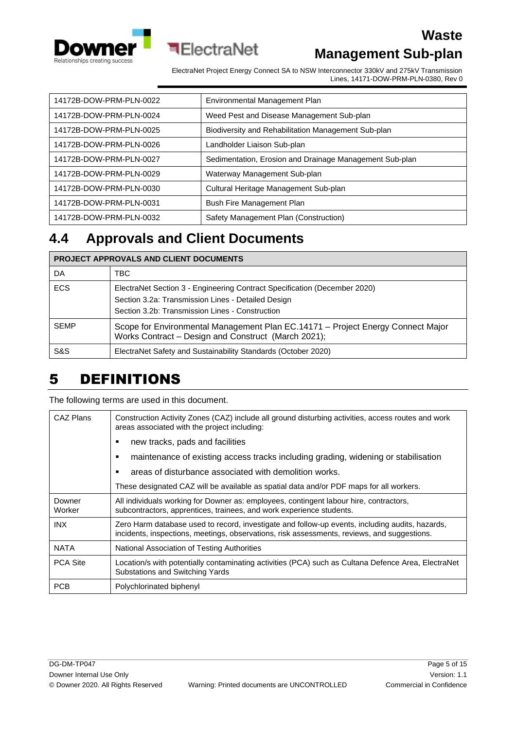



# **Management Sub-plan**

**Waste**

ElectraNet Project Energy Connect SA to NSW Interconnector 330kV and 275kV Transmission Lines, 14171-DOW-PRM-PLN-0380, Rev 0

| 14172B-DOW-PRM-PLN-0022 | Environmental Management Plan                           |
|-------------------------|---------------------------------------------------------|
| 14172B-DOW-PRM-PLN-0024 | Weed Pest and Disease Management Sub-plan               |
| 14172B-DOW-PRM-PLN-0025 | Biodiversity and Rehabilitation Management Sub-plan     |
| 14172B-DOW-PRM-PLN-0026 | Landholder Liaison Sub-plan                             |
| 14172B-DOW-PRM-PLN-0027 | Sedimentation, Erosion and Drainage Management Sub-plan |
| 14172B-DOW-PRM-PLN-0029 | Waterway Management Sub-plan                            |
| 14172B-DOW-PRM-PLN-0030 | Cultural Heritage Management Sub-plan                   |
| 14172B-DOW-PRM-PLN-0031 | Bush Fire Management Plan                               |
| 14172B-DOW-PRM-PLN-0032 | Safety Management Plan (Construction)                   |

## <span id="page-4-0"></span>**4.4 Approvals and Client Documents**

| <b>PROJECT APPROVALS AND CLIENT DOCUMENTS</b> |                                                                                                                                                                                    |  |  |
|-----------------------------------------------|------------------------------------------------------------------------------------------------------------------------------------------------------------------------------------|--|--|
| DA                                            | TBC                                                                                                                                                                                |  |  |
| <b>ECS</b>                                    | ElectraNet Section 3 - Engineering Contract Specification (December 2020)<br>Section 3.2a: Transmission Lines - Detailed Design<br>Section 3.2b: Transmission Lines - Construction |  |  |
| <b>SEMP</b>                                   | Scope for Environmental Management Plan EC.14171 - Project Energy Connect Major<br>Works Contract - Design and Construct (March 2021);                                             |  |  |
| S&S                                           | ElectraNet Safety and Sustainability Standards (October 2020)                                                                                                                      |  |  |

### <span id="page-4-1"></span>5 DEFINITIONS

The following terms are used in this document.

| CAZ Plans        | Construction Activity Zones (CAZ) include all ground disturbing activities, access routes and work<br>areas associated with the project including:                                             |  |  |  |
|------------------|------------------------------------------------------------------------------------------------------------------------------------------------------------------------------------------------|--|--|--|
|                  | new tracks, pads and facilities                                                                                                                                                                |  |  |  |
|                  | maintenance of existing access tracks including grading, widening or stabilisation<br>٠                                                                                                        |  |  |  |
|                  | areas of disturbance associated with demolition works.<br>٠                                                                                                                                    |  |  |  |
|                  | These designated CAZ will be available as spatial data and/or PDF maps for all workers.                                                                                                        |  |  |  |
| Downer<br>Worker | All individuals working for Downer as: employees, contingent labour hire, contractors,<br>subcontractors, apprentices, trainees, and work experience students.                                 |  |  |  |
| INX              | Zero Harm database used to record, investigate and follow-up events, including audits, hazards,<br>incidents, inspections, meetings, observations, risk assessments, reviews, and suggestions. |  |  |  |
| <b>NATA</b>      | National Association of Testing Authorities                                                                                                                                                    |  |  |  |
| <b>PCA Site</b>  | Location/s with potentially contaminating activities (PCA) such as Cultana Defence Area, ElectraNet<br>Substations and Switching Yards                                                         |  |  |  |
| <b>PCB</b>       | Polychlorinated biphenyl                                                                                                                                                                       |  |  |  |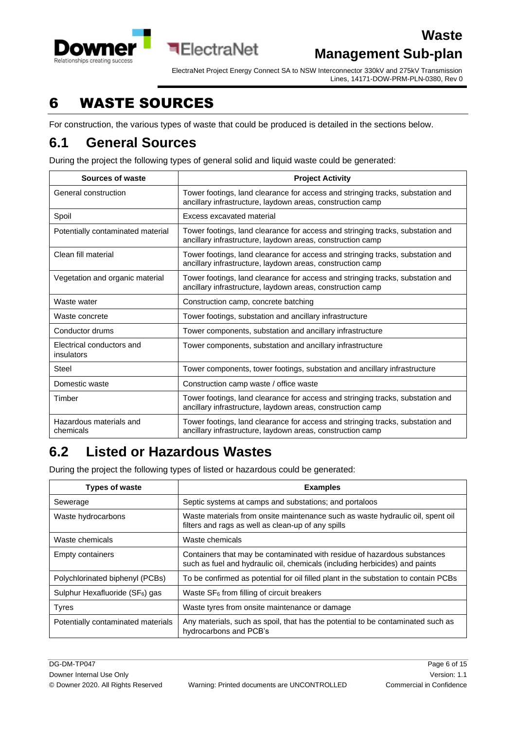

ElectraNet Project Energy Connect SA to NSW Interconnector 330kV and 275kV Transmission Lines, 14171-DOW-PRM-PLN-0380, Rev 0

# <span id="page-5-0"></span>6 WASTE SOURCES

For construction, the various types of waste that could be produced is detailed in the sections below.

#### <span id="page-5-1"></span>**6.1 General Sources**

During the project the following types of general solid and liquid waste could be generated:

**ElectraNet** 

| Sources of waste                        | <b>Project Activity</b>                                                                                                                      |  |  |
|-----------------------------------------|----------------------------------------------------------------------------------------------------------------------------------------------|--|--|
| General construction                    | Tower footings, land clearance for access and stringing tracks, substation and<br>ancillary infrastructure, laydown areas, construction camp |  |  |
| Spoil                                   | Excess excavated material                                                                                                                    |  |  |
| Potentially contaminated material       | Tower footings, land clearance for access and stringing tracks, substation and<br>ancillary infrastructure, laydown areas, construction camp |  |  |
| Clean fill material                     | Tower footings, land clearance for access and stringing tracks, substation and<br>ancillary infrastructure, laydown areas, construction camp |  |  |
| Vegetation and organic material         | Tower footings, land clearance for access and stringing tracks, substation and<br>ancillary infrastructure, laydown areas, construction camp |  |  |
| Waste water                             | Construction camp, concrete batching                                                                                                         |  |  |
| Waste concrete                          | Tower footings, substation and ancillary infrastructure                                                                                      |  |  |
| Conductor drums                         | Tower components, substation and ancillary infrastructure                                                                                    |  |  |
| Electrical conductors and<br>insulators | Tower components, substation and ancillary infrastructure                                                                                    |  |  |
| Steel                                   | Tower components, tower footings, substation and ancillary infrastructure                                                                    |  |  |
| Domestic waste                          | Construction camp waste / office waste                                                                                                       |  |  |
| Timber                                  | Tower footings, land clearance for access and stringing tracks, substation and<br>ancillary infrastructure, laydown areas, construction camp |  |  |
| Hazardous materials and<br>chemicals    | Tower footings, land clearance for access and stringing tracks, substation and<br>ancillary infrastructure, laydown areas, construction camp |  |  |

### <span id="page-5-2"></span>**6.2 Listed or Hazardous Wastes**

During the project the following types of listed or hazardous could be generated:

| <b>Types of waste</b>                       | <b>Examples</b>                                                                                                                                         |  |
|---------------------------------------------|---------------------------------------------------------------------------------------------------------------------------------------------------------|--|
| Sewerage                                    | Septic systems at camps and substations; and portaloos                                                                                                  |  |
| Waste hydrocarbons                          | Waste materials from onsite maintenance such as waste hydraulic oil, spent oil<br>filters and rags as well as clean-up of any spills                    |  |
| Waste chemicals                             | Waste chemicals                                                                                                                                         |  |
| <b>Empty containers</b>                     | Containers that may be contaminated with residue of hazardous substances<br>such as fuel and hydraulic oil, chemicals (including herbicides) and paints |  |
| Polychlorinated biphenyl (PCBs)             | To be confirmed as potential for oil filled plant in the substation to contain PCBs                                                                     |  |
| Sulphur Hexafluoride (SF <sub>6</sub> ) gas | Waste $SF_6$ from filling of circuit breakers                                                                                                           |  |
| <b>Tyres</b>                                | Waste tyres from onsite maintenance or damage                                                                                                           |  |
| Potentially contaminated materials          | Any materials, such as spoil, that has the potential to be contaminated such as<br>hydrocarbons and PCB's                                               |  |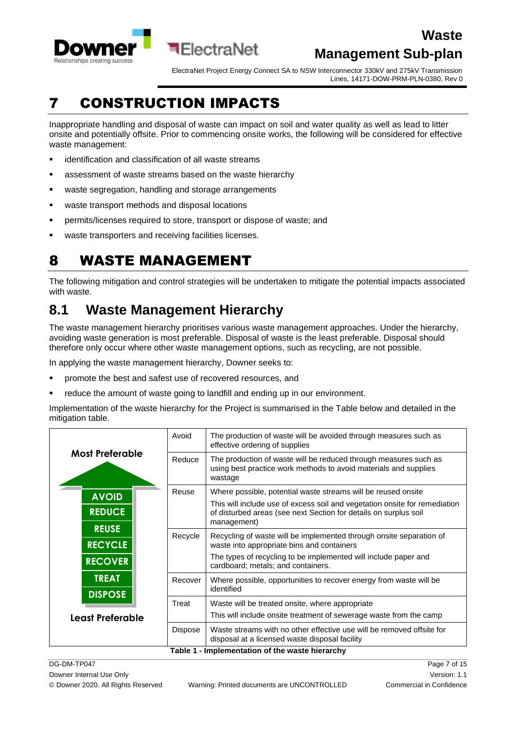

ElectraNet Project Energy Connect SA to NSW Interconnector 330kV and 275kV Transmission Lines, 14171-DOW-PRM-PLN-0380, Rev 0

# <span id="page-6-0"></span>7 CONSTRUCTION IMPACTS

Inappropriate handling and disposal of waste can impact on soil and water quality as well as lead to litter onsite and potentially offsite. Prior to commencing onsite works, the following will be considered for effective waste management:

- identification and classification of all waste streams
- assessment of waste streams based on the waste hierarchy
- waste segregation, handling and storage arrangements
- waste transport methods and disposal locations
- **•** permits/licenses required to store, transport or dispose of waste; and
- waste transporters and receiving facilities licenses.

# <span id="page-6-1"></span>8 WASTE MANAGEMENT

The following mitigation and control strategies will be undertaken to mitigate the potential impacts associated with waste.

# <span id="page-6-2"></span>**8.1 Waste Management Hierarchy**

The waste management hierarchy prioritises various waste management approaches. Under the hierarchy, avoiding waste generation is most preferable. Disposal of waste is the least preferable. Disposal should therefore only occur where other waste management options, such as recycling, are not possible.

In applying the waste management hierarchy, Downer seeks to:

- promote the best and safest use of recovered resources, and
- reduce the amount of waste going to landfill and ending up in our environment.

Implementation of the waste hierarchy for the Project is summarised in the Table below and detailed in the mitigation table.

|                        | Avoid          | The production of waste will be avoided through measures such as<br>effective ordering of supplies                                              |  |  |
|------------------------|----------------|-------------------------------------------------------------------------------------------------------------------------------------------------|--|--|
| <b>Most Preferable</b> | Reduce         | The production of waste will be reduced through measures such as<br>using best practice work methods to avoid materials and supplies<br>wastage |  |  |
| <b>AVOID</b>           | Reuse          | Where possible, potential waste streams will be reused onsite                                                                                   |  |  |
| <b>REDUCE</b>          |                | This will include use of excess soil and vegetation onsite for remediation                                                                      |  |  |
|                        |                | of disturbed areas (see next Section for details on surplus soil<br>management)                                                                 |  |  |
| <b>REUSE</b>           | Recycle        | Recycling of waste will be implemented through onsite separation of                                                                             |  |  |
| <b>RECYCLE</b>         |                | waste into appropriate bins and containers                                                                                                      |  |  |
| <b>RECOVER</b>         |                | The types of recycling to be implemented will include paper and<br>cardboard; metals; and containers.                                           |  |  |
| <b>TREAT</b>           | Recover        | Where possible, opportunities to recover energy from waste will be<br>identified                                                                |  |  |
| <b>DISPOSE</b>         | Treat          | Waste will be treated onsite, where appropriate                                                                                                 |  |  |
| Least Preferable       |                | This will include onsite treatment of sewerage waste from the camp                                                                              |  |  |
|                        | <b>Dispose</b> | Waste streams with no other effective use will be removed offsite for<br>disposal at a licensed waste disposal facility                         |  |  |
|                        |                | Table 1 - Implementation of the waste hierarchy                                                                                                 |  |  |

Downer Internal Use Only **Version: 1.1** Now the Use Only 1.1 No. 1.1 No. 1.1 No. 1.1 No. 1.1 No. 1.1 No. 1.1 No. 1.1 No. 1.1 No. 1.1 No. 1.1 No. 1.1 No. 1.1 No. 1.1 No. 1.1 No. 1.1 No. 1.1 No. 1.1 No. 1.1 No. 1.1 No. 1.1 N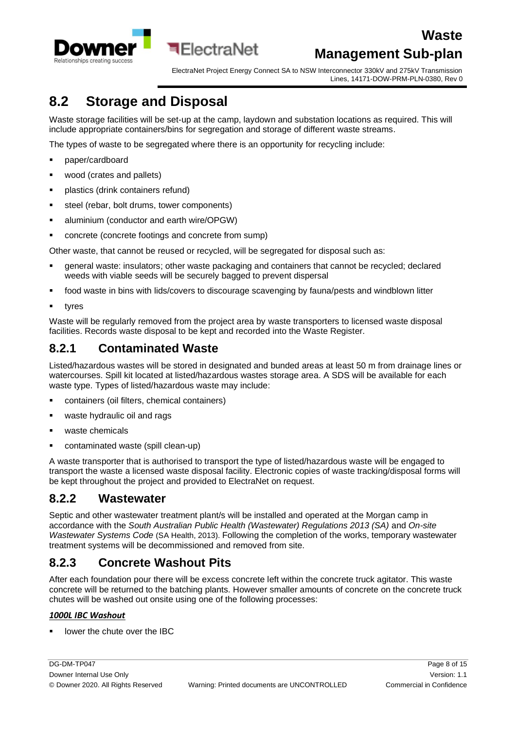

ElectraNet Project Energy Connect SA to NSW Interconnector 330kV and 275kV Transmission Lines, 14171-DOW-PRM-PLN-0380, Rev 0

# <span id="page-7-0"></span>**8.2 Storage and Disposal**

Waste storage facilities will be set-up at the camp, laydown and substation locations as required. This will include appropriate containers/bins for segregation and storage of different waste streams.

The types of waste to be segregated where there is an opportunity for recycling include:

**बElectraNet** 

- paper/cardboard
- wood (crates and pallets)
- plastics (drink containers refund)
- steel (rebar, bolt drums, tower components)
- **■** aluminium (conductor and earth wire/OPGW)
- concrete (concrete footings and concrete from sump)

Other waste, that cannot be reused or recycled, will be segregated for disposal such as:

- general waste: insulators; other waste packaging and containers that cannot be recycled; declared weeds with viable seeds will be securely bagged to prevent dispersal
- food waste in bins with lids/covers to discourage scavenging by fauna/pests and windblown litter
- tyres

Waste will be regularly removed from the project area by waste transporters to licensed waste disposal facilities. Records waste disposal to be kept and recorded into the Waste Register.

#### <span id="page-7-1"></span>**8.2.1 Contaminated Waste**

Listed/hazardous wastes will be stored in designated and bunded areas at least 50 m from drainage lines or watercourses. Spill kit located at listed/hazardous wastes storage area. A SDS will be available for each waste type. Types of listed/hazardous waste may include:

- containers (oil filters, chemical containers)
- waste hydraulic oil and rags
- waste chemicals
- contaminated waste (spill clean-up)

A waste transporter that is authorised to transport the type of listed/hazardous waste will be engaged to transport the waste a licensed waste disposal facility. Electronic copies of waste tracking/disposal forms will be kept throughout the project and provided to ElectraNet on request.

#### <span id="page-7-2"></span>**8.2.2 Wastewater**

Septic and other wastewater treatment plant/s will be installed and operated at the Morgan camp in accordance with the *South Australian Public Health (Wastewater) Regulations 2013 (SA)* and *On-site Wastewater Systems Code* (SA Health, 2013). Following the completion of the works, temporary wastewater treatment systems will be decommissioned and removed from site.

#### <span id="page-7-3"></span>**8.2.3 Concrete Washout Pits**

After each foundation pour there will be excess concrete left within the concrete truck agitator. This waste concrete will be returned to the batching plants. However smaller amounts of concrete on the concrete truck chutes will be washed out onsite using one of the following processes:

#### *1000L IBC Washout*

lower the chute over the IBC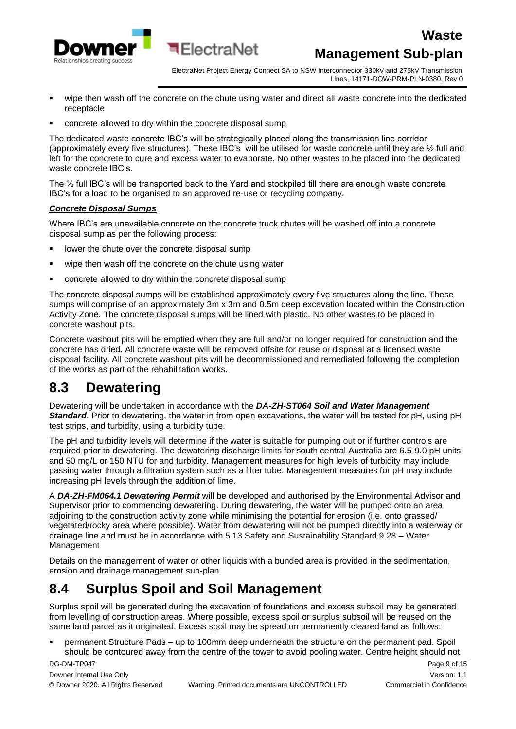

ElectraNet Project Energy Connect SA to NSW Interconnector 330kV and 275kV Transmission Lines, 14171-DOW-PRM-PLN-0380, Rev 0

- wipe then wash off the concrete on the chute using water and direct all waste concrete into the dedicated receptacle
- concrete allowed to dry within the concrete disposal sump

The dedicated waste concrete IBC's will be strategically placed along the transmission line corridor (approximately every five structures). These IBC's will be utilised for waste concrete until they are ½ full and left for the concrete to cure and excess water to evaporate. No other wastes to be placed into the dedicated waste concrete IBC's.

The ½ full IBC's will be transported back to the Yard and stockpiled till there are enough waste concrete IBC's for a load to be organised to an approved re-use or recycling company.

#### *Concrete Disposal Sumps*

Where IBC's are unavailable concrete on the concrete truck chutes will be washed off into a concrete disposal sump as per the following process:

- lower the chute over the concrete disposal sump
- wipe then wash off the concrete on the chute using water
- concrete allowed to dry within the concrete disposal sump

The concrete disposal sumps will be established approximately every five structures along the line. These sumps will comprise of an approximately 3m x 3m and 0.5m deep excavation located within the Construction Activity Zone. The concrete disposal sumps will be lined with plastic. No other wastes to be placed in concrete washout pits.

Concrete washout pits will be emptied when they are full and/or no longer required for construction and the concrete has dried. All concrete waste will be removed offsite for reuse or disposal at a licensed waste disposal facility. All concrete washout pits will be decommissioned and remediated following the completion of the works as part of the rehabilitation works.

#### <span id="page-8-0"></span>**8.3 Dewatering**

Dewatering will be undertaken in accordance with the *DA-ZH-ST064 Soil and Water Management Standard*. Prior to dewatering, the water in from open excavations, the water will be tested for pH, using pH test strips, and turbidity, using a turbidity tube.

The pH and turbidity levels will determine if the water is suitable for pumping out or if further controls are required prior to dewatering. The dewatering discharge limits for south central Australia are 6.5-9.0 pH units and 50 mg/L or 150 NTU for and turbidity. Management measures for high levels of turbidity may include passing water through a filtration system such as a filter tube. Management measures for pH may include increasing pH levels through the addition of lime.

A *DA-ZH-FM064.1 Dewatering Permit* will be developed and authorised by the Environmental Advisor and Supervisor prior to commencing dewatering. During dewatering, the water will be pumped onto an area adjoining to the construction activity zone while minimising the potential for erosion (i.e. onto grassed/ vegetated/rocky area where possible). Water from dewatering will not be pumped directly into a waterway or drainage line and must be in accordance with 5.13 Safety and Sustainability Standard 9.28 – Water Management

Details on the management of water or other liquids with a bunded area is provided in the sedimentation, erosion and drainage management sub-plan.

# <span id="page-8-1"></span>**8.4 Surplus Spoil and Soil Management**

Surplus spoil will be generated during the excavation of foundations and excess subsoil may be generated from levelling of construction areas. Where possible, excess spoil or surplus subsoil will be reused on the same land parcel as it originated. Excess spoil may be spread on permanently cleared land as follows:

▪ permanent Structure Pads – up to 100mm deep underneath the structure on the permanent pad. Spoil should be contoured away from the centre of the tower to avoid pooling water. Centre height should not

DG-DM-TP047 Page 9 of 15 Downer Internal Use Only **New York Contract Contract Contract Contract Contract Contract Contract Contract Contract Contract Contract Contract Only Version: 1.1**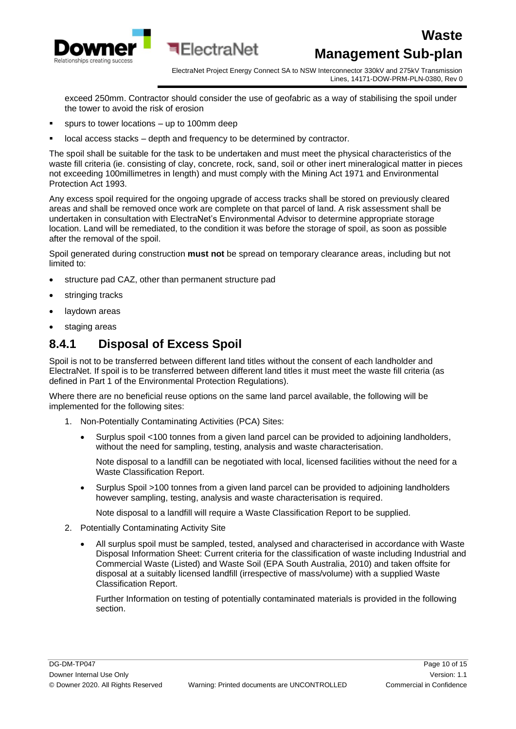

ElectraNet Project Energy Connect SA to NSW Interconnector 330kV and 275kV Transmission Lines, 14171-DOW-PRM-PLN-0380, Rev 0

exceed 250mm. Contractor should consider the use of geofabric as a way of stabilising the spoil under the tower to avoid the risk of erosion

- spurs to tower locations up to 100mm deep
- local access stacks depth and frequency to be determined by contractor.

The spoil shall be suitable for the task to be undertaken and must meet the physical characteristics of the waste fill criteria (ie. consisting of clay, concrete, rock, sand, soil or other inert mineralogical matter in pieces not exceeding 100millimetres in length) and must comply with the Mining Act 1971 and Environmental Protection Act 1993.

Any excess spoil required for the ongoing upgrade of access tracks shall be stored on previously cleared areas and shall be removed once work are complete on that parcel of land. A risk assessment shall be undertaken in consultation with ElectraNet's Environmental Advisor to determine appropriate storage location. Land will be remediated, to the condition it was before the storage of spoil, as soon as possible after the removal of the spoil.

Spoil generated during construction **must not** be spread on temporary clearance areas, including but not limited to:

- structure pad CAZ, other than permanent structure pad
- stringing tracks
- laydown areas
- staging areas

#### <span id="page-9-0"></span>**8.4.1 Disposal of Excess Spoil**

Spoil is not to be transferred between different land titles without the consent of each landholder and ElectraNet. If spoil is to be transferred between different land titles it must meet the waste fill criteria (as defined in Part 1 of the Environmental Protection Regulations).

Where there are no beneficial reuse options on the same land parcel available, the following will be implemented for the following sites:

- 1. Non-Potentially Contaminating Activities (PCA) Sites:
	- Surplus spoil <100 tonnes from a given land parcel can be provided to adjoining landholders, without the need for sampling, testing, analysis and waste characterisation.

Note disposal to a landfill can be negotiated with local, licensed facilities without the need for a Waste Classification Report.

• Surplus Spoil >100 tonnes from a given land parcel can be provided to adjoining landholders however sampling, testing, analysis and waste characterisation is required.

Note disposal to a landfill will require a Waste Classification Report to be supplied.

- 2. Potentially Contaminating Activity Site
	- All surplus spoil must be sampled, tested, analysed and characterised in accordance with Waste Disposal Information Sheet: Current criteria for the classification of waste including Industrial and Commercial Waste (Listed) and Waste Soil (EPA South Australia, 2010) and taken offsite for disposal at a suitably licensed landfill (irrespective of mass/volume) with a supplied Waste Classification Report.

Further Information on testing of potentially contaminated materials is provided in the following section.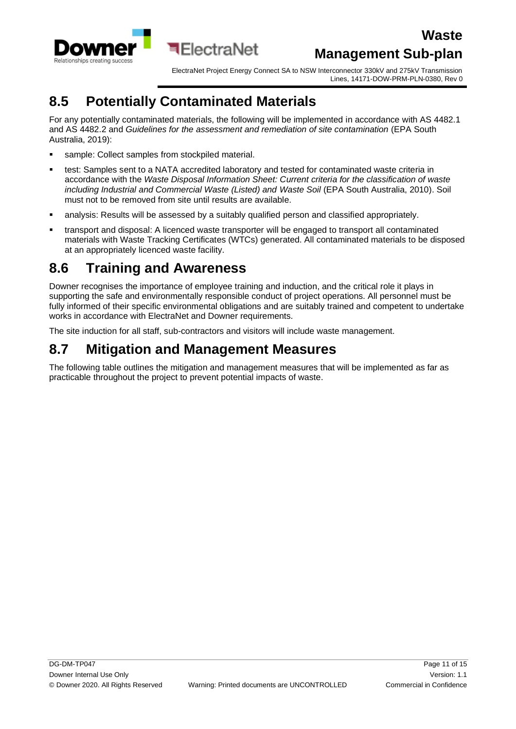

ElectraNet Project Energy Connect SA to NSW Interconnector 330kV and 275kV Transmission Lines, 14171-DOW-PRM-PLN-0380, Rev 0

# <span id="page-10-0"></span>**8.5 Potentially Contaminated Materials**

For any potentially contaminated materials, the following will be implemented in accordance with AS 4482.1 and AS 4482.2 and *Guidelines for the assessment and remediation of site contamination* (EPA South Australia, 2019):

- sample: Collect samples from stockpiled material.
- test: Samples sent to a NATA accredited laboratory and tested for contaminated waste criteria in accordance with the *Waste Disposal Information Sheet: Current criteria for the classification of waste including Industrial and Commercial Waste (Listed) and Waste Soil* (EPA South Australia, 2010). Soil must not to be removed from site until results are available.
- **•** analysis: Results will be assessed by a suitably qualified person and classified appropriately.
- **•** transport and disposal: A licenced waste transporter will be engaged to transport all contaminated materials with Waste Tracking Certificates (WTCs) generated. All contaminated materials to be disposed at an appropriately licenced waste facility.

### <span id="page-10-1"></span>**8.6 Training and Awareness**

Downer recognises the importance of employee training and induction, and the critical role it plays in supporting the safe and environmentally responsible conduct of project operations. All personnel must be fully informed of their specific environmental obligations and are suitably trained and competent to undertake works in accordance with ElectraNet and Downer requirements.

The site induction for all staff, sub-contractors and visitors will include waste management.

#### <span id="page-10-2"></span>**8.7 Mitigation and Management Measures**

The following table outlines the mitigation and management measures that will be implemented as far as practicable throughout the project to prevent potential impacts of waste.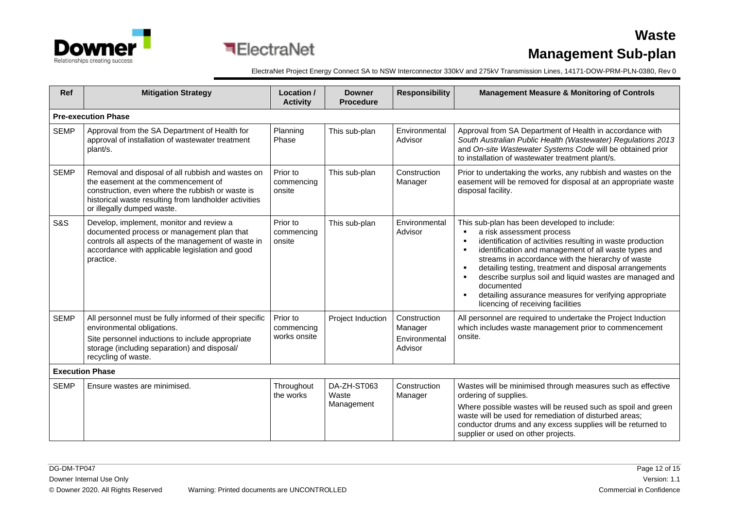



ElectraNet Project Energy Connect SA to NSW Interconnector 330kV and 275kV Transmission Lines, 14171-DOW-PRM-PLN-0380, Rev 0

| <b>Ref</b>             | <b>Mitigation Strategy</b>                                                                                                                                                                                                          | Location /<br><b>Activity</b>          | <b>Downer</b><br><b>Procedure</b>  | <b>Responsibility</b>                               | <b>Management Measure &amp; Monitoring of Controls</b>                                                                                                                                                                                                                                                                                                                                                                                                                                                                     |  |  |  |
|------------------------|-------------------------------------------------------------------------------------------------------------------------------------------------------------------------------------------------------------------------------------|----------------------------------------|------------------------------------|-----------------------------------------------------|----------------------------------------------------------------------------------------------------------------------------------------------------------------------------------------------------------------------------------------------------------------------------------------------------------------------------------------------------------------------------------------------------------------------------------------------------------------------------------------------------------------------------|--|--|--|
|                        | <b>Pre-execution Phase</b>                                                                                                                                                                                                          |                                        |                                    |                                                     |                                                                                                                                                                                                                                                                                                                                                                                                                                                                                                                            |  |  |  |
| <b>SEMP</b>            | Approval from the SA Department of Health for<br>approval of installation of wastewater treatment<br>plant/s.                                                                                                                       | Planning<br>Phase                      | This sub-plan                      | Environmental<br>Advisor                            | Approval from SA Department of Health in accordance with<br>South Australian Public Health (Wastewater) Regulations 2013<br>and On-site Wastewater Systems Code will be obtained prior<br>to installation of wastewater treatment plant/s.                                                                                                                                                                                                                                                                                 |  |  |  |
| <b>SEMP</b>            | Removal and disposal of all rubbish and wastes on<br>the easement at the commencement of<br>construction, even where the rubbish or waste is<br>historical waste resulting from landholder activities<br>or illegally dumped waste. | Prior to<br>commencing<br>onsite       | This sub-plan                      | Construction<br>Manager                             | Prior to undertaking the works, any rubbish and wastes on the<br>easement will be removed for disposal at an appropriate waste<br>disposal facility.                                                                                                                                                                                                                                                                                                                                                                       |  |  |  |
| S&S                    | Develop, implement, monitor and review a<br>documented process or management plan that<br>controls all aspects of the management of waste in<br>accordance with applicable legislation and good<br>practice.                        | Prior to<br>commencing<br>onsite       | This sub-plan                      | Environmental<br>Advisor                            | This sub-plan has been developed to include:<br>a risk assessment process<br>identification of activities resulting in waste production<br>$\blacksquare$<br>identification and management of all waste types and<br>$\blacksquare$<br>streams in accordance with the hierarchy of waste<br>detailing testing, treatment and disposal arrangements<br>describe surplus soil and liquid wastes are managed and<br>documented<br>detailing assurance measures for verifying appropriate<br>licencing of receiving facilities |  |  |  |
| <b>SEMP</b>            | All personnel must be fully informed of their specific<br>environmental obligations.<br>Site personnel inductions to include appropriate<br>storage (including separation) and disposal/<br>recycling of waste.                     | Prior to<br>commencing<br>works onsite | Project Induction                  | Construction<br>Manager<br>Environmental<br>Advisor | All personnel are required to undertake the Project Induction<br>which includes waste management prior to commencement<br>onsite.                                                                                                                                                                                                                                                                                                                                                                                          |  |  |  |
| <b>Execution Phase</b> |                                                                                                                                                                                                                                     |                                        |                                    |                                                     |                                                                                                                                                                                                                                                                                                                                                                                                                                                                                                                            |  |  |  |
| <b>SEMP</b>            | Ensure wastes are minimised.                                                                                                                                                                                                        | Throughout<br>the works                | DA-ZH-ST063<br>Waste<br>Management | Construction<br>Manager                             | Wastes will be minimised through measures such as effective<br>ordering of supplies.<br>Where possible wastes will be reused such as spoil and green<br>waste will be used for remediation of disturbed areas;<br>conductor drums and any excess supplies will be returned to<br>supplier or used on other projects.                                                                                                                                                                                                       |  |  |  |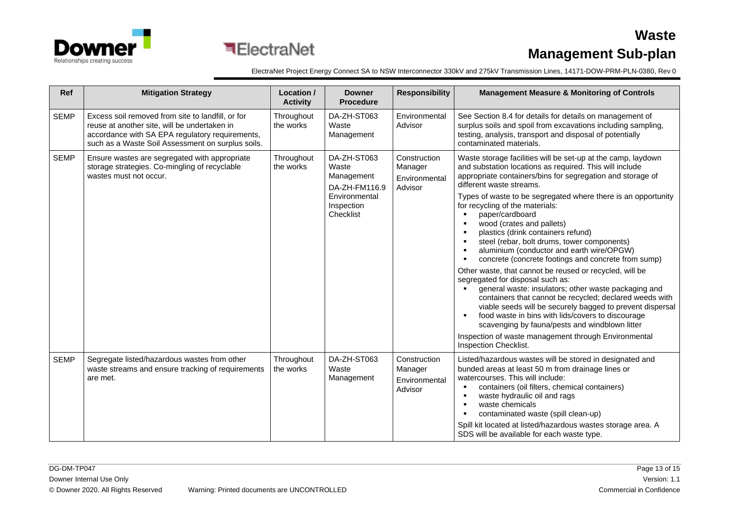

ElectraNet Project Energy Connect SA to NSW Interconnector 330kV and 275kV Transmission Lines, 14171-DOW-PRM-PLN-0380, Rev 0

| <b>Ref</b>  | <b>Mitigation Strategy</b>                                                                                                                                                                                | Location /<br><b>Activity</b> | <b>Downer</b><br><b>Procedure</b>                                                               | <b>Responsibility</b>                               | <b>Management Measure &amp; Monitoring of Controls</b>                                                                                                                                                                                                                                                                                                                                                                                                                                                                                                                                                                                                                                                                                                                                                                                                                                                                                                                                                                                                                    |
|-------------|-----------------------------------------------------------------------------------------------------------------------------------------------------------------------------------------------------------|-------------------------------|-------------------------------------------------------------------------------------------------|-----------------------------------------------------|---------------------------------------------------------------------------------------------------------------------------------------------------------------------------------------------------------------------------------------------------------------------------------------------------------------------------------------------------------------------------------------------------------------------------------------------------------------------------------------------------------------------------------------------------------------------------------------------------------------------------------------------------------------------------------------------------------------------------------------------------------------------------------------------------------------------------------------------------------------------------------------------------------------------------------------------------------------------------------------------------------------------------------------------------------------------------|
| <b>SEMP</b> | Excess soil removed from site to landfill, or for<br>reuse at another site, will be undertaken in<br>accordance with SA EPA regulatory requirements,<br>such as a Waste Soil Assessment on surplus soils. | Throughout<br>the works       | DA-ZH-ST063<br>Waste<br>Management                                                              | Environmental<br>Advisor                            | See Section 8.4 for details for details on management of<br>surplus soils and spoil from excavations including sampling,<br>testing, analysis, transport and disposal of potentially<br>contaminated materials.                                                                                                                                                                                                                                                                                                                                                                                                                                                                                                                                                                                                                                                                                                                                                                                                                                                           |
| <b>SEMP</b> | Ensure wastes are segregated with appropriate<br>storage strategies. Co-mingling of recyclable<br>wastes must not occur.                                                                                  | Throughout<br>the works       | DA-ZH-ST063<br>Waste<br>Management<br>DA-ZH-FM116.9<br>Environmental<br>Inspection<br>Checklist | Construction<br>Manager<br>Environmental<br>Advisor | Waste storage facilities will be set-up at the camp, laydown<br>and substation locations as required. This will include<br>appropriate containers/bins for segregation and storage of<br>different waste streams.<br>Types of waste to be segregated where there is an opportunity<br>for recycling of the materials:<br>paper/cardboard<br>wood (crates and pallets)<br>$\blacksquare$<br>plastics (drink containers refund)<br>steel (rebar, bolt drums, tower components)<br>aluminium (conductor and earth wire/OPGW)<br>concrete (concrete footings and concrete from sump)<br>$\blacksquare$<br>Other waste, that cannot be reused or recycled, will be<br>segregated for disposal such as:<br>general waste: insulators; other waste packaging and<br>containers that cannot be recycled; declared weeds with<br>viable seeds will be securely bagged to prevent dispersal<br>food waste in bins with lids/covers to discourage<br>scavenging by fauna/pests and windblown litter<br>Inspection of waste management through Environmental<br>Inspection Checklist. |
| <b>SEMP</b> | Segregate listed/hazardous wastes from other<br>waste streams and ensure tracking of requirements<br>are met.                                                                                             | Throughout<br>the works       | DA-ZH-ST063<br>Waste<br>Management                                                              | Construction<br>Manager<br>Environmental<br>Advisor | Listed/hazardous wastes will be stored in designated and<br>bunded areas at least 50 m from drainage lines or<br>watercourses. This will include:<br>containers (oil filters, chemical containers)<br>п<br>waste hydraulic oil and rags<br>$\blacksquare$<br>waste chemicals<br>п.<br>contaminated waste (spill clean-up)<br>Spill kit located at listed/hazardous wastes storage area. A<br>SDS will be available for each waste type.                                                                                                                                                                                                                                                                                                                                                                                                                                                                                                                                                                                                                                   |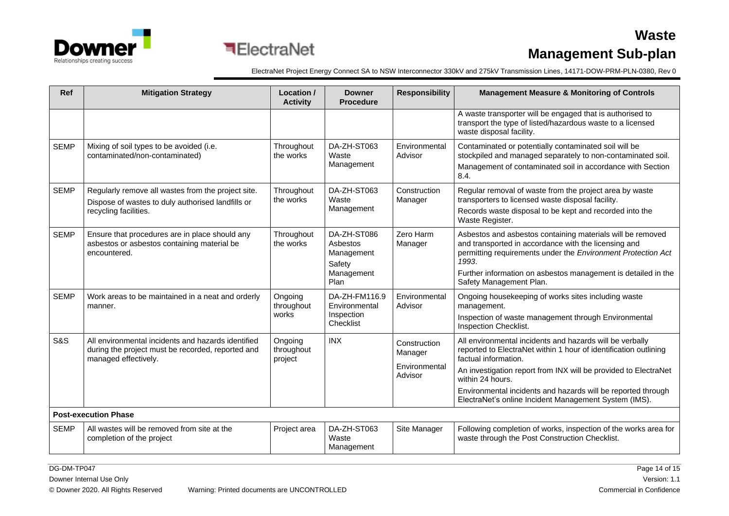

ElectraNet Project Energy Connect SA to NSW Interconnector 330kV and 275kV Transmission Lines, 14171-DOW-PRM-PLN-0380, Rev 0

| <b>Ref</b>     | <b>Mitigation Strategy</b>                                                                                                       | Location /<br><b>Activity</b>    | <b>Downer</b><br><b>Procedure</b>                                     | <b>Responsibility</b>                               | <b>Management Measure &amp; Monitoring of Controls</b>                                                                                                                                                                                                                                                                                                               |  |  |
|----------------|----------------------------------------------------------------------------------------------------------------------------------|----------------------------------|-----------------------------------------------------------------------|-----------------------------------------------------|----------------------------------------------------------------------------------------------------------------------------------------------------------------------------------------------------------------------------------------------------------------------------------------------------------------------------------------------------------------------|--|--|
|                |                                                                                                                                  |                                  |                                                                       |                                                     | A waste transporter will be engaged that is authorised to<br>transport the type of listed/hazardous waste to a licensed<br>waste disposal facility.                                                                                                                                                                                                                  |  |  |
| <b>SEMP</b>    | Mixing of soil types to be avoided (i.e.<br>contaminated/non-contaminated)                                                       | Throughout<br>the works          | DA-ZH-ST063<br>Waste<br>Management                                    | Environmental<br>Advisor                            | Contaminated or potentially contaminated soil will be<br>stockpiled and managed separately to non-contaminated soil.<br>Management of contaminated soil in accordance with Section<br>8.4.                                                                                                                                                                           |  |  |
| <b>SEMP</b>    | Regularly remove all wastes from the project site.<br>Dispose of wastes to duly authorised landfills or<br>recycling facilities. | Throughout<br>the works          | DA-ZH-ST063<br>Waste<br>Management                                    | Construction<br>Manager                             | Regular removal of waste from the project area by waste<br>transporters to licensed waste disposal facility.<br>Records waste disposal to be kept and recorded into the<br>Waste Register.                                                                                                                                                                           |  |  |
| <b>SEMP</b>    | Ensure that procedures are in place should any<br>asbestos or asbestos containing material be<br>encountered.                    | Throughout<br>the works          | DA-ZH-ST086<br>Asbestos<br>Management<br>Safety<br>Management<br>Plan | Zero Harm<br>Manager                                | Asbestos and asbestos containing materials will be removed<br>and transported in accordance with the licensing and<br>permitting requirements under the Environment Protection Act<br>1993.<br>Further information on asbestos management is detailed in the<br>Safety Management Plan.                                                                              |  |  |
| <b>SEMP</b>    | Work areas to be maintained in a neat and orderly<br>manner.                                                                     | Ongoing<br>throughout<br>works   | DA-ZH-FM116.9<br>Environmental<br>Inspection<br>Checklist             | Environmental<br>Advisor                            | Ongoing housekeeping of works sites including waste<br>management.<br>Inspection of waste management through Environmental<br>Inspection Checklist.                                                                                                                                                                                                                  |  |  |
| <b>S&amp;S</b> | All environmental incidents and hazards identified<br>during the project must be recorded, reported and<br>managed effectively.  | Ongoing<br>throughout<br>project | <b>INX</b>                                                            | Construction<br>Manager<br>Environmental<br>Advisor | All environmental incidents and hazards will be verbally<br>reported to ElectraNet within 1 hour of identification outlining<br>factual information.<br>An investigation report from INX will be provided to ElectraNet<br>within 24 hours.<br>Environmental incidents and hazards will be reported through<br>ElectraNet's online Incident Management System (IMS). |  |  |
|                | <b>Post-execution Phase</b>                                                                                                      |                                  |                                                                       |                                                     |                                                                                                                                                                                                                                                                                                                                                                      |  |  |
| <b>SEMP</b>    | All wastes will be removed from site at the<br>completion of the project                                                         | Project area                     | DA-ZH-ST063<br>Waste<br>Management                                    | Site Manager                                        | Following completion of works, inspection of the works area for<br>waste through the Post Construction Checklist.                                                                                                                                                                                                                                                    |  |  |